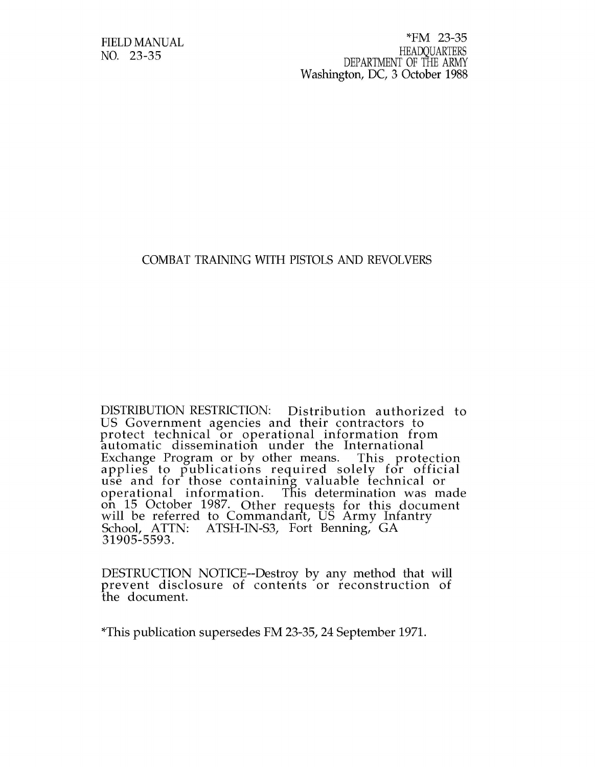FIELD MANUAL NO. 23-35

\*FM 23-35 HEADQUARTERS DEPARTMENT OF THE ARMY Washington, DC, 3 October 1988

## COMBAT TRAINING WITH PISTOLS AND REVOLVERS

DISTRIBUTION RESTRICTION: Distribution authorized to US Government agencies and their contractors to protect technical or operational information from automatic dissemination under the Internatio Exchange Program or by other means. This protection applies to publications required solely for offici use and for those containing valuable technical or operational information. This determination was mad on 15 October 1987. Other requests for this docume will be referred to Commandant, US Army Infantı School, ATTN: ATSH-IN-S3, Fort Benning, GA 31905-5593.

DESTRUCTION NOTICE--Destroy by any method that will prevent disclosure of contents or reconstruction of the document.

\*This publication supersedes FM 23-35, 24 September 1971.